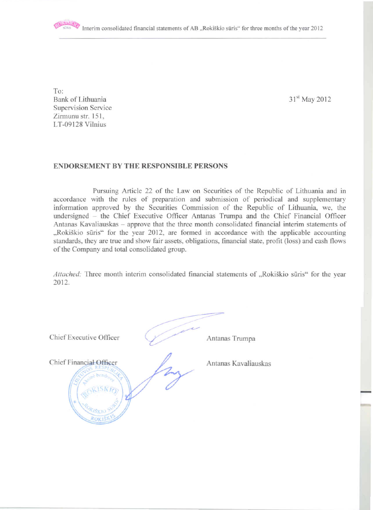To: Bank of Lithuania **Supervision Service** Zirmunu str. 151, LT-09128 Vilnius

31<sup>st</sup> May 2012

### **ENDORSEMENT BY THE RESPONSIBLE PERSONS**

Pursuing Article 22 of the Law on Securities of the Republic of Lithuania and in accordance with the rules of preparation and submission of periodical and supplementary information approved by the Securities Commission of the Republic of Lithuania, we, the undersigned - the Chief Executive Officer Antanas Trumpa and the Chief Financial Officer Antanas Kavaliauskas - approve that the three month consolidated financial interim statements of "Rokiškio sūris" for the year 2012, are formed in accordance with the applicable accounting standards, they are true and show fair assets, obligations, financial state, profit (loss) and cash flows of the Company and total consolidated group.

Attached: Three month interim consolidated financial statements of "Rokiškio sūris" for the year 2012.

| Chief Executive Officer                         | Antanas Trumpa       |  |
|-------------------------------------------------|----------------------|--|
| Chief Financial Officer<br><b>MSKIV</b><br>ROYA | Antanas Kavaliauskas |  |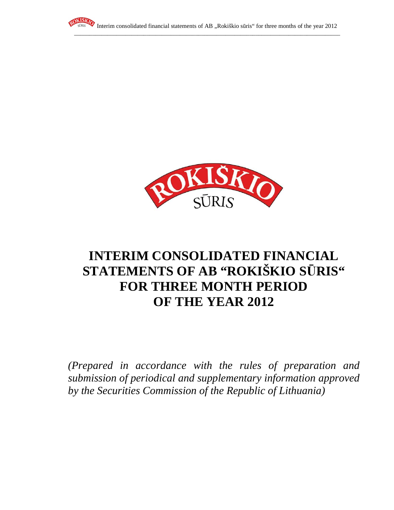



# **INTERIM CONSOLIDATED FINANCIAL STATEMENTS OF AB "ROKIŠKIO S**Ū**RIS" FOR THREE MONTH PERIOD OF THE YEAR 2012**

*(Prepared in accordance with the rules of preparation and submission of periodical and supplementary information approved by the Securities Commission of the Republic of Lithuania)*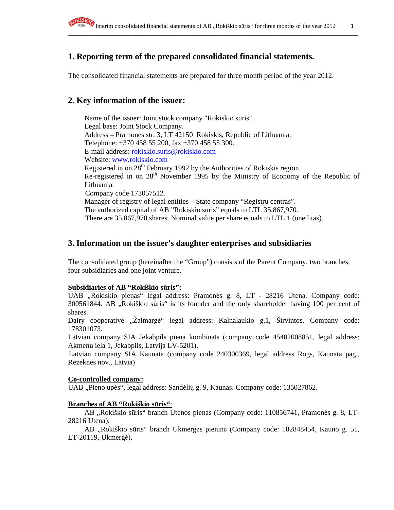

# **1. Reporting term of the prepared consolidated financial statements.**

The consolidated financial statements are prepared for three month period of the year 2012.

### **2. Key information of the issuer:**

Name of the issuer: Joint stock company "Rokiskio suris". Legal base: Joint Stock Company. Address – Pramones str. 3, LT 42150 Rokiskis, Republic of Lithuania. Telephone: +370 458 55 200, fax +370 458 55 300. E-mail address: rokiskio.suris@rokiskio.com Website: www.rokiskio.com Registered in on  $28<sup>th</sup>$  February 1992 by the Authorities of Rokiskis region. Re-registered in on 28<sup>th</sup> November 1995 by the Ministry of Economy of the Republic of Lithuania. Company code 173057512. Manager of registry of legal entities – State company "Registru centras". The authorized capital of AB "Rokiskio suris" equals to LTL 35,867,970. There are 35,867,970 shares. Nominal value per share equals to LTL 1 (one litas).

### **3. Information on the issuer's daughter enterprises and subsidiaries**

The consolidated group (hereinafter the "Group") consists of the Parent Company, two branches, four subsidiaries and one joint venture.

### **Subsidiaries of AB "Rokiškio s**ū**ris":**

UAB "Rokiskio pienas" legal address: Pramonės g. 8, LT - 28216 Utena. Company code: 300561844. AB "Rokiškio sūris" is its founder and the only shareholder having 100 per cent of shares.

Dairy cooperative "Žalmargė" legal address: Kalnalaukio g.1, Širvintos. Company code: 178301073.

Latvian company SIA Jekabpils piena kombinats (company code 45402008851, legal address: Akmenu iela 1, Jekabpils, Latvija LV-5201).

Latvian company SIA Kaunata (company code 240300369, legal address Rogs, Kaunata pag., Rezeknes nov., Latvia)

#### **Co-controlled company:**

UAB "Pieno upės", legal address: Sandėlių g. 9, Kaunas. Company code: 135027862.

### **Branches of AB "Rokiškio s**ū**ris"**:

AB "Rokiškio sūris" branch Utenos pienas (Company code: 110856741, Pramonės g. 8, LT-28216 Utena);

AB "Rokiškio sūris" branch Ukmergės pieninė (Company code: 182848454, Kauno g. 51, LT-20119, Ukmergė).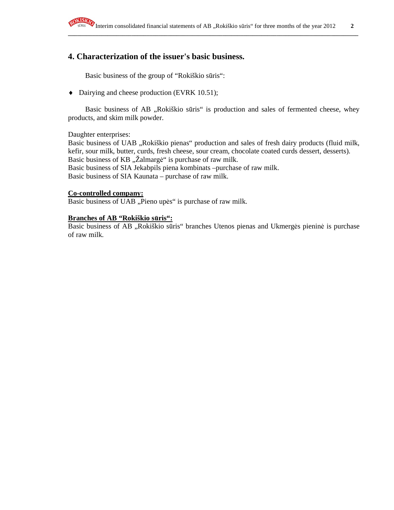

# **4. Characterization of the issuer's basic business.**

Basic business of the group of "Rokiškio sūris":

♦ Dairying and cheese production (EVRK 10.51);

Basic business of AB "Rokiškio sūris" is production and sales of fermented cheese, whey products, and skim milk powder.

Daughter enterprises:

Basic business of UAB "Rokiškio pienas" production and sales of fresh dairy products (fluid milk, kefir, sour milk, butter, curds, fresh cheese, sour cream, chocolate coated curds dessert, desserts). Basic business of KB "Žalmargė" is purchase of raw milk. Basic business of SIA Jekabpils piena kombinats –purchase of raw milk. Basic business of SIA Kaunata – purchase of raw milk.

### **Co-controlled company:**

Basic business of UAB "Pieno upės" is purchase of raw milk.

### **Branches of AB "Rokiškio s**ū**ris":**

Basic business of AB "Rokiškio sūris" branches Utenos pienas and Ukmergės pieninė is purchase of raw milk.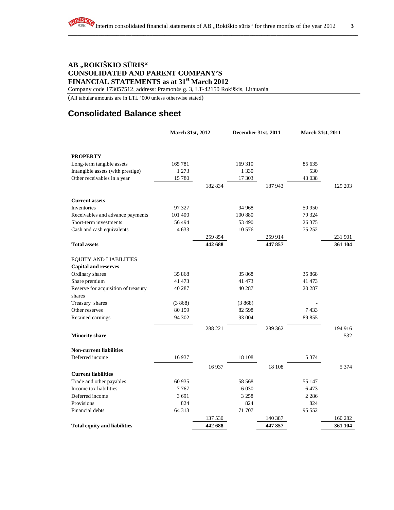Company code 173057512, address: Pramonės g. 3, LT-42150 Rokiškis, Lithuania

(All tabular amounts are in LTL '000 unless otherwise stated)

# **Consolidated Balance sheet**

|                                     | <b>March 31st, 2012</b> |         | December 31st, 2011 |         | <b>March 31st, 2011</b> |         |
|-------------------------------------|-------------------------|---------|---------------------|---------|-------------------------|---------|
|                                     |                         |         |                     |         |                         |         |
| <b>PROPERTY</b>                     |                         |         |                     |         |                         |         |
| Long-term tangible assets           | 165 781                 |         | 169 310             |         | 85 635                  |         |
| Intangible assets (with prestige)   | 1 2 7 3                 |         | 1 3 3 0             |         | 530                     |         |
| Other receivables in a year         | 15 780                  |         | 17 303              |         | 43 038                  |         |
|                                     |                         | 182 834 |                     | 187943  |                         | 129 203 |
| <b>Current assets</b>               |                         |         |                     |         |                         |         |
| Inventories                         | 97 327                  |         | 94 968              |         | 50 950                  |         |
| Receivables and advance payments    | 101 400                 |         | 100 880             |         | 79 324                  |         |
| Short-term investments              | 56494                   |         | 53 490              |         | 26 375                  |         |
| Cash and cash equivalents           | 4 6 3 3                 |         | 10 576              |         | 75 25 2                 |         |
|                                     |                         | 259 854 |                     | 259 914 |                         | 231 901 |
| <b>Total assets</b>                 |                         | 442 688 |                     | 447857  |                         | 361 104 |
| <b>EQUITY AND LIABILITIES</b>       |                         |         |                     |         |                         |         |
| <b>Capital and reserves</b>         |                         |         |                     |         |                         |         |
| Ordinary shares                     | 35 868                  |         | 35 868              |         | 35 868                  |         |
| Share premium                       | 41 473                  |         | 41 473              |         | 41 473                  |         |
| Reserve for acquisition of treasury | 40 287                  |         | 40 287              |         | 20 287                  |         |
| shares                              |                         |         |                     |         |                         |         |
| Treasury shares                     | (3868)                  |         | (3868)              |         |                         |         |
| Other reserves                      | 80 159                  |         | 82 5 98             |         | 7433                    |         |
| Retained earnings                   | 94 302                  |         | 93 004              |         | 89 855                  |         |
|                                     |                         | 288 221 |                     | 289 362 |                         | 194 916 |
| <b>Minority share</b>               |                         |         |                     |         |                         | 532     |
| <b>Non-current liabilities</b>      |                         |         |                     |         |                         |         |
| Deferred income                     | 16937                   |         | 18 108              |         | 5 3 7 4                 |         |
|                                     |                         | 16937   |                     | 18 10 8 |                         | 5 3 7 4 |
| <b>Current liabilities</b>          |                         |         |                     |         |                         |         |
| Trade and other payables            | 60 9 35                 |         | 58 568              |         | 55 147                  |         |
| Income tax liabilities              | 7767                    |         | 6 0 3 0             |         | 6473                    |         |
| Deferred income                     | 3691                    |         | 3 2 5 8             |         | 2 2 8 6                 |         |
| Provisions                          | 824                     |         | 824                 |         | 824                     |         |
| Financial debts                     | 64 313                  |         | 71 707              |         | 95 552                  |         |
|                                     |                         | 137 530 |                     | 140 387 |                         | 160 282 |
| <b>Total equity and liabilities</b> |                         | 442 688 |                     | 447 857 |                         | 361 104 |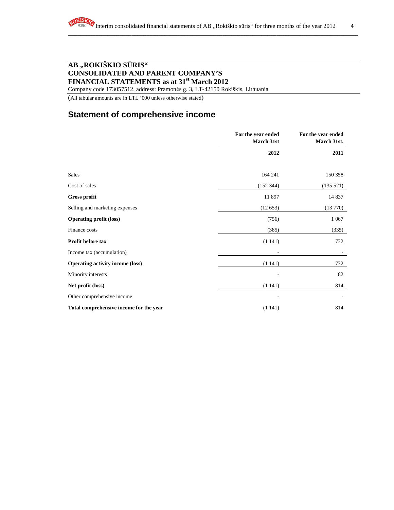Company code 173057512, address: Pramonės g. 3, LT-42150 Rokiškis, Lithuania

(All tabular amounts are in LTL '000 unless otherwise stated)

# **Statement of comprehensive income**

|                                         | For the year ended<br>March 31st | For the year ended<br>March 31st. |
|-----------------------------------------|----------------------------------|-----------------------------------|
|                                         | 2012                             | 2011                              |
|                                         |                                  |                                   |
| <b>Sales</b>                            | 164 241                          | 150 358                           |
| Cost of sales                           | (152 344)                        | (135 521)                         |
| <b>Gross profit</b>                     | 11 897                           | 14 8 37                           |
| Selling and marketing expenses          | (12653)                          | (13770)                           |
| <b>Operating profit (loss)</b>          | (756)                            | 1 0 67                            |
| Finance costs                           | (385)                            | (335)                             |
| Profit before tax                       | (1141)                           | 732                               |
| Income tax (accumulation)               |                                  |                                   |
| <b>Operating activity income (loss)</b> | (1141)                           | 732                               |
| Minority interests                      |                                  | 82                                |
| Net profit (loss)                       | (1141)                           | 814                               |
| Other comprehensive income              |                                  |                                   |
| Total comprehensive income for the year | (1141)                           | 814                               |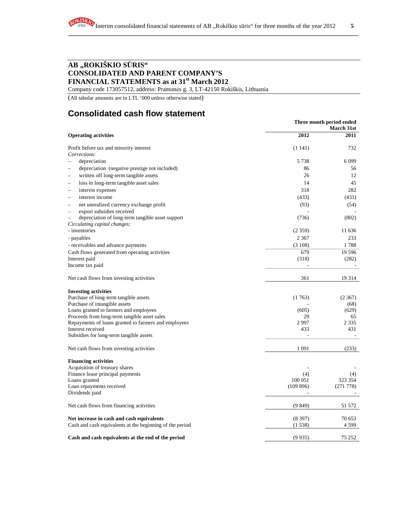Company code 173057512, address: Pramonės g. 3, LT-42150 Rokiškis, Lithuania

(All tabular amounts are in LTL '000 unless otherwise stated)

# **Consolidated cash flow statement**

|                                                                                  |          | Three month period ended<br><b>March 31st</b> |  |  |  |
|----------------------------------------------------------------------------------|----------|-----------------------------------------------|--|--|--|
| <b>Operating activities</b>                                                      | 2012     | <b>2011</b>                                   |  |  |  |
| Profit before tax and minority interest<br>Corrections:                          | (1141)   | 732                                           |  |  |  |
| depreciation                                                                     | 5 7 3 8  | 6 0 9 9                                       |  |  |  |
| depreciation (negative prestige not included)                                    | 86       | 56                                            |  |  |  |
| written off long-term tangible assets<br>$\overline{\phantom{a}}$                | 26       | 12                                            |  |  |  |
|                                                                                  |          |                                               |  |  |  |
| loss in long-term tangible asset sales                                           | 14       | 45                                            |  |  |  |
| interest expenses<br>-                                                           | 318      | 282                                           |  |  |  |
| interest income                                                                  | (433)    | (431)                                         |  |  |  |
| net unrealized currency exchange profit                                          | (93)     | (54)                                          |  |  |  |
| export subsidies received<br>-                                                   |          |                                               |  |  |  |
| depreciation of long-term tangible asset support<br>Circulating capital changes: | (736)    | (802)                                         |  |  |  |
| - inventories                                                                    | (2359)   | 11 636                                        |  |  |  |
| - payables                                                                       | 2 3 6 7  | 233                                           |  |  |  |
| - receivables and advance payments                                               | (3108)   | 1788                                          |  |  |  |
| Cash flows generated from operating activities                                   | 679      | 19 5 9 6                                      |  |  |  |
| Interest paid                                                                    | (318)    | (282)                                         |  |  |  |
| Income tax paid                                                                  |          |                                               |  |  |  |
| Net cash flows from investing activities                                         | 361      | 19 3 14                                       |  |  |  |
| <b>Investing activities</b>                                                      |          |                                               |  |  |  |
| Purchase of long-term tangible assets                                            | (1763)   | (2367)                                        |  |  |  |
| Purchase of intangible assets                                                    |          | (68)                                          |  |  |  |
| Loans granted to farmers and employees                                           | (605)    | (629)                                         |  |  |  |
| Proceeds from long-term tangible asset sales                                     | 29       | 65                                            |  |  |  |
| Repayments of loans granted to farmers and employees                             | 2997     | 2 3 3 5                                       |  |  |  |
| Interest received                                                                | 433      | 431                                           |  |  |  |
| Subsidies for long-term tangible assets                                          |          |                                               |  |  |  |
| Net cash flows from investing activities                                         | 1 0 9 1  | (233)                                         |  |  |  |
| <b>Financing activities</b>                                                      |          |                                               |  |  |  |
| Acquisition of treasury shares                                                   |          |                                               |  |  |  |
| Finance lease principal payments                                                 | (4)      | (4)                                           |  |  |  |
| Loans granted                                                                    | 100 051  | 323 354                                       |  |  |  |
| Loan repayments received                                                         | (109896) | (271 778)                                     |  |  |  |
| Dividends paid                                                                   |          |                                               |  |  |  |
| Net cash flows from financing activities                                         | (9849)   | 51 572                                        |  |  |  |
| Net increase in cash and cash equivalents                                        | (8397)   | 70 653                                        |  |  |  |
| Cash and cash equivalents at the beginning of the period                         | (1538)   | 4 5 9 9                                       |  |  |  |
| Cash and cash equivalents at the end of the period                               | (9935)   | 75 252                                        |  |  |  |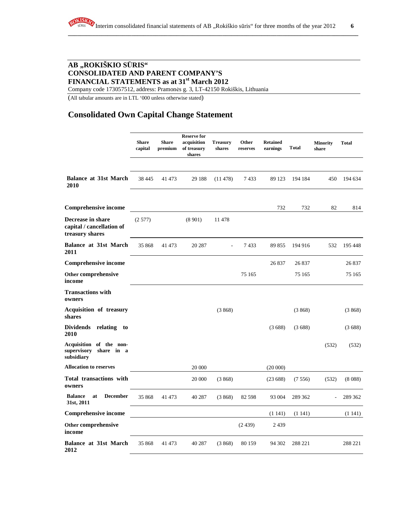Company code 173057512, address: Pramonės g. 3, LT-42150 Rokiškis, Lithuania

(All tabular amounts are in LTL '000 unless otherwise stated)

# **Consolidated Own Capital Change Statement**

|                                                                    | <b>Share</b><br>capital | <b>Share</b><br>premium | <b>Reserve for</b><br>acquisition<br>of treasury<br>shares | <b>Treasury</b><br>shares | Other<br>reserves | <b>Retained</b><br>earnings | <b>Total</b> | <b>Minority</b><br>share | <b>Total</b> |
|--------------------------------------------------------------------|-------------------------|-------------------------|------------------------------------------------------------|---------------------------|-------------------|-----------------------------|--------------|--------------------------|--------------|
| <b>Balance at 31st March</b><br>2010                               | 38 4 45                 | 41 473                  | 29 188                                                     | (11478)                   | 7433              | 89 123                      | 194 184      | 450                      | 194 634      |
| <b>Comprehensive income</b>                                        |                         |                         |                                                            |                           |                   | 732                         | 732          | 82                       | 814          |
| Decrease in share<br>capital / cancellation of<br>treasury shares  | (2577)                  |                         | (8901)                                                     | 11 478                    |                   |                             |              |                          |              |
| <b>Balance at 31st March</b><br><b>2011</b>                        | 35 868                  | 41 473                  | 20 287                                                     |                           | 7433              | 89 855                      | 194 916      | 532                      | 195 448      |
| <b>Comprehensive income</b>                                        |                         |                         |                                                            |                           |                   | 26 837                      | 26 837       |                          | 26 837       |
| Other comprehensive<br>income                                      |                         |                         |                                                            |                           | 75 165            |                             | 75 165       |                          | 75 165       |
| <b>Transactions with</b><br>owners                                 |                         |                         |                                                            |                           |                   |                             |              |                          |              |
| Acquisition of treasury<br>shares                                  |                         |                         |                                                            | (3868)                    |                   |                             | (3868)       |                          | (3868)       |
| <b>Dividends</b><br>relating<br>to<br><b>2010</b>                  |                         |                         |                                                            |                           |                   | (3688)                      | (3688)       |                          | (3688)       |
| Acquisition of the non-<br>supervisory<br>share in a<br>subsidiary |                         |                         |                                                            |                           |                   |                             |              | (532)                    | (532)        |
| Allocation to reserves                                             |                         |                         | 20 000                                                     |                           |                   | (20000)                     |              |                          |              |
| <b>Total transactions with</b><br>owners                           |                         |                         | 20 000                                                     | (3868)                    |                   | (23688)                     | (7556)       | (532)                    | (8088)       |
| <b>Balance</b><br><b>December</b><br>at<br>31st, 2011              | 35 868                  | 41 473                  | 40 287                                                     | (3868)                    | 82 5 98           | 93 004                      | 289 362      |                          | 289 362      |
| <b>Comprehensive income</b>                                        |                         |                         |                                                            |                           |                   | (1141)                      | (1141)       |                          | (1141)       |
| Other comprehensive<br>income                                      |                         |                         |                                                            |                           | (2439)            | 2439                        |              |                          |              |
| <b>Balance at 31st March</b><br>2012                               | 35 868                  | 41 473                  | 40 287                                                     | (3868)                    | 80 159            | 94 302                      | 288 221      |                          | 288 221      |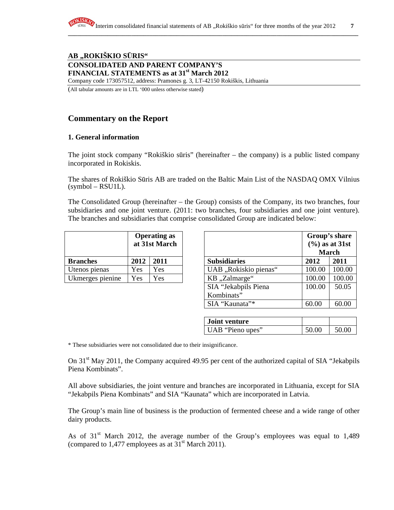Company code 173057512, address: Pramonės g. 3, LT-42150 Rokiškis, Lithuania

(All tabular amounts are in LTL '000 unless otherwise stated)

# **Commentary on the Report**

### **1. General information**

The joint stock company "Rokiškio sūris" (hereinafter – the company) is a public listed company incorporated in Rokiskis.

The shares of Rokiškio Sūris AB are traded on the Baltic Main List of the NASDAQ OMX Vilnius  $(symbol - RSU1L)$ .

The Consolidated Group (hereinafter – the Group) consists of the Company, its two branches, four subsidiaries and one joint venture. (2011: two branches, four subsidiaries and one joint venture). The branches and subsidiaries that comprise consolidated Group are indicated below:

|                  | <b>Operating as</b><br>at 31st March |      |  |
|------------------|--------------------------------------|------|--|
| <b>Branches</b>  | 2012                                 | 2011 |  |
| Utenos pienas    | Yes                                  | Yes  |  |
| Ukmerges pienine | Yes                                  | Yes  |  |

|                  |      | <b>Operating as</b><br>at 31st March |                                    | <b>March</b> | Group's share<br>$(\frac{6}{6})$ as at 31st |
|------------------|------|--------------------------------------|------------------------------------|--------------|---------------------------------------------|
| <b>Branches</b>  | 2012 | 2011                                 | <b>Subsidiaries</b>                | 2012         | 2011                                        |
| Utenos pienas    | Yes  | Yes                                  | UAB "Rokiskio pienas"              | 100.00       | 100.00                                      |
| Ukmerges pienine | Yes  | Yes                                  | KB, ,Zalmarge"                     | 100.00       | 100.00                                      |
|                  |      |                                      | SIA "Jekabpils Piena<br>Kombinats" | 100.00       | 50.05                                       |
|                  |      |                                      | SIA "Kaunata"*                     | 60.00        | 60.00                                       |

| <b>Joint venture</b> |       |       |  |
|----------------------|-------|-------|--|
| UAB "Pieno upes"     | 50.00 | 50.00 |  |

\* These subsidiaries were not consolidated due to their insignificance.

On 31<sup>st</sup> May 2011, the Company acquired 49.95 per cent of the authorized capital of SIA "Jekabpils" Piena Kombinats".

All above subsidiaries, the joint venture and branches are incorporated in Lithuania, except for SIA "Jekabpils Piena Kombinats" and SIA "Kaunata" which are incorporated in Latvia.

The Group's main line of business is the production of fermented cheese and a wide range of other dairy products.

As of  $31<sup>st</sup>$  March 2012, the average number of the Group's employees was equal to 1,489 (compared to 1,477 employees as at  $31<sup>st</sup>$  March 2011).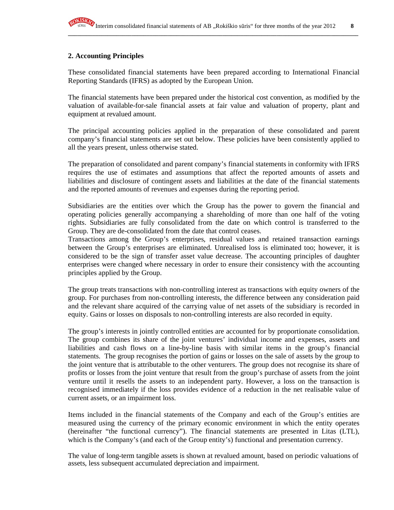### **2. Accounting Principles**

These consolidated financial statements have been prepared according to International Financial Reporting Standards (IFRS) as adopted by the European Union.

The financial statements have been prepared under the historical cost convention, as modified by the valuation of available-for-sale financial assets at fair value and valuation of property, plant and equipment at revalued amount.

The principal accounting policies applied in the preparation of these consolidated and parent company's financial statements are set out below. These policies have been consistently applied to all the years present, unless otherwise stated.

The preparation of consolidated and parent company's financial statements in conformity with IFRS requires the use of estimates and assumptions that affect the reported amounts of assets and liabilities and disclosure of contingent assets and liabilities at the date of the financial statements and the reported amounts of revenues and expenses during the reporting period.

Subsidiaries are the entities over which the Group has the power to govern the financial and operating policies generally accompanying a shareholding of more than one half of the voting rights. Subsidiaries are fully consolidated from the date on which control is transferred to the Group. They are de-consolidated from the date that control ceases.

Transactions among the Group's enterprises, residual values and retained transaction earnings between the Group's enterprises are eliminated. Unrealised loss is eliminated too; however, it is considered to be the sign of transfer asset value decrease. The accounting principles of daughter enterprises were changed where necessary in order to ensure their consistency with the accounting principles applied by the Group.

The group treats transactions with non-controlling interest as transactions with equity owners of the group. For purchases from non-controlling interests, the difference between any consideration paid and the relevant share acquired of the carrying value of net assets of the subsidiary is recorded in equity. Gains or losses on disposals to non-controlling interests are also recorded in equity.

The group's interests in jointly controlled entities are accounted for by proportionate consolidation. The group combines its share of the joint ventures' individual income and expenses, assets and liabilities and cash flows on a line-by-line basis with similar items in the group's financial statements. The group recognises the portion of gains or losses on the sale of assets by the group to the joint venture that is attributable to the other venturers. The group does not recognise its share of profits or losses from the joint venture that result from the group's purchase of assets from the joint venture until it resells the assets to an independent party. However, a loss on the transaction is recognised immediately if the loss provides evidence of a reduction in the net realisable value of current assets, or an impairment loss.

Items included in the financial statements of the Company and each of the Group's entities are measured using the currency of the primary economic environment in which the entity operates (hereinafter "the functional currency"). The financial statements are presented in Litas (LTL), which is the Company's (and each of the Group entity's) functional and presentation currency.

The value of long-term tangible assets is shown at revalued amount, based on periodic valuations of assets, less subsequent accumulated depreciation and impairment.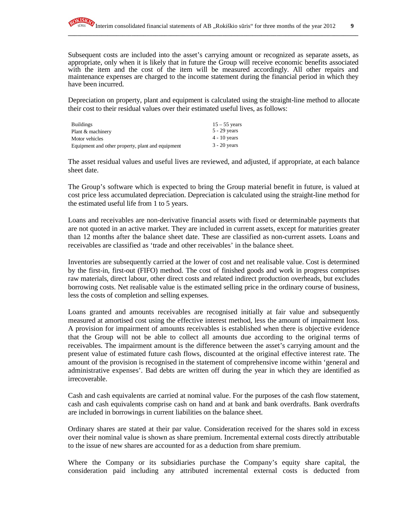Subsequent costs are included into the asset's carrying amount or recognized as separate assets, as appropriate, only when it is likely that in future the Group will receive economic benefits associated with the item and the cost of the item will be measured accordingly. All other repairs and maintenance expenses are charged to the income statement during the financial period in which they have been incurred.

Depreciation on property, plant and equipment is calculated using the straight-line method to allocate their cost to their residual values over their estimated useful lives, as follows:

| <b>Buildings</b>                                  | $15 - 55$ years |
|---------------------------------------------------|-----------------|
| Plant & machinery                                 | $5 - 29$ years  |
| Motor vehicles                                    | $4 - 10$ years  |
| Equipment and other property, plant and equipment | $3 - 20$ years  |

The asset residual values and useful lives are reviewed, and adjusted, if appropriate, at each balance sheet date.

The Group's software which is expected to bring the Group material benefit in future, is valued at cost price less accumulated depreciation. Depreciation is calculated using the straight-line method for the estimated useful life from 1 to 5 years.

Loans and receivables are non-derivative financial assets with fixed or determinable payments that are not quoted in an active market. They are included in current assets, except for maturities greater than 12 months after the balance sheet date. These are classified as non-current assets. Loans and receivables are classified as 'trade and other receivables' in the balance sheet.

Inventories are subsequently carried at the lower of cost and net realisable value. Cost is determined by the first-in, first-out (FIFO) method. The cost of finished goods and work in progress comprises raw materials, direct labour, other direct costs and related indirect production overheads, but excludes borrowing costs. Net realisable value is the estimated selling price in the ordinary course of business, less the costs of completion and selling expenses.

Loans granted and amounts receivables are recognised initially at fair value and subsequently measured at amortised cost using the effective interest method, less the amount of impairment loss. A provision for impairment of amounts receivables is established when there is objective evidence that the Group will not be able to collect all amounts due according to the original terms of receivables. The impairment amount is the difference between the asset's carrying amount and the present value of estimated future cash flows, discounted at the original effective interest rate. The amount of the provision is recognised in the statement of comprehensive income within 'general and administrative expenses'. Bad debts are written off during the year in which they are identified as irrecoverable.

Cash and cash equivalents are carried at nominal value. For the purposes of the cash flow statement, cash and cash equivalents comprise cash on hand and at bank and bank overdrafts. Bank overdrafts are included in borrowings in current liabilities on the balance sheet.

Ordinary shares are stated at their par value. Consideration received for the shares sold in excess over their nominal value is shown as share premium. Incremental external costs directly attributable to the issue of new shares are accounted for as a deduction from share premium.

Where the Company or its subsidiaries purchase the Company's equity share capital, the consideration paid including any attributed incremental external costs is deducted from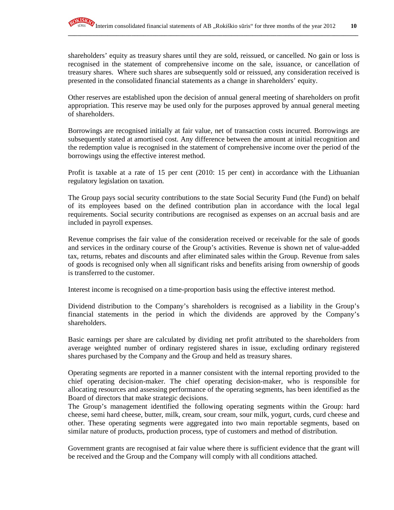shareholders' equity as treasury shares until they are sold, reissued, or cancelled. No gain or loss is recognised in the statement of comprehensive income on the sale, issuance, or cancellation of treasury shares. Where such shares are subsequently sold or reissued, any consideration received is presented in the consolidated financial statements as a change in shareholders' equity.

Other reserves are established upon the decision of annual general meeting of shareholders on profit appropriation. This reserve may be used only for the purposes approved by annual general meeting of shareholders.

Borrowings are recognised initially at fair value, net of transaction costs incurred. Borrowings are subsequently stated at amortised cost. Any difference between the amount at initial recognition and the redemption value is recognised in the statement of comprehensive income over the period of the borrowings using the effective interest method.

Profit is taxable at a rate of 15 per cent (2010: 15 per cent) in accordance with the Lithuanian regulatory legislation on taxation.

The Group pays social security contributions to the state Social Security Fund (the Fund) on behalf of its employees based on the defined contribution plan in accordance with the local legal requirements. Social security contributions are recognised as expenses on an accrual basis and are included in payroll expenses.

Revenue comprises the fair value of the consideration received or receivable for the sale of goods and services in the ordinary course of the Group's activities. Revenue is shown net of value-added tax, returns, rebates and discounts and after eliminated sales within the Group. Revenue from sales of goods is recognised only when all significant risks and benefits arising from ownership of goods is transferred to the customer.

Interest income is recognised on a time-proportion basis using the effective interest method.

Dividend distribution to the Company's shareholders is recognised as a liability in the Group's financial statements in the period in which the dividends are approved by the Company's shareholders.

Basic earnings per share are calculated by dividing net profit attributed to the shareholders from average weighted number of ordinary registered shares in issue, excluding ordinary registered shares purchased by the Company and the Group and held as treasury shares.

Operating segments are reported in a manner consistent with the internal reporting provided to the chief operating decision-maker. The chief operating decision-maker, who is responsible for allocating resources and assessing performance of the operating segments, has been identified as the Board of directors that make strategic decisions.

The Group's management identified the following operating segments within the Group: hard cheese, semi hard cheese, butter, milk, cream, sour cream, sour milk, yogurt, curds, curd cheese and other. These operating segments were aggregated into two main reportable segments, based on similar nature of products, production process, type of customers and method of distribution.

Government grants are recognised at fair value where there is sufficient evidence that the grant will be received and the Group and the Company will comply with all conditions attached.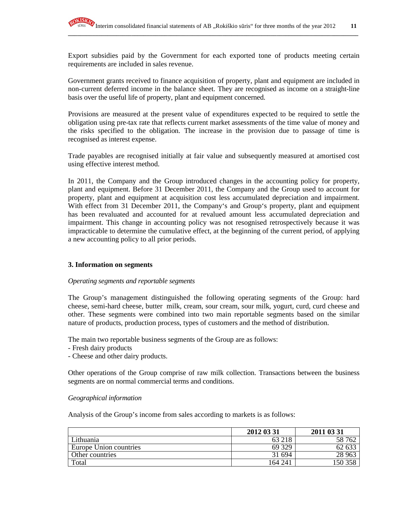Export subsidies paid by the Government for each exported tone of products meeting certain requirements are included in sales revenue.

**\_\_\_\_\_\_\_\_\_\_\_\_\_\_\_\_\_\_\_\_\_\_\_\_\_\_\_\_\_\_\_\_\_\_\_\_\_\_\_\_\_\_\_\_\_\_\_\_\_\_\_\_\_\_\_\_\_\_\_\_\_\_\_\_\_\_\_\_\_\_\_\_\_\_\_\_\_\_\_\_\_\_\_\_\_\_\_\_\_\_\_\_\_\_\_\_**

Government grants received to finance acquisition of property, plant and equipment are included in non-current deferred income in the balance sheet. They are recognised as income on a straight-line basis over the useful life of property, plant and equipment concerned.

Provisions are measured at the present value of expenditures expected to be required to settle the obligation using pre-tax rate that reflects current market assessments of the time value of money and the risks specified to the obligation. The increase in the provision due to passage of time is recognised as interest expense.

Trade payables are recognised initially at fair value and subsequently measured at amortised cost using effective interest method.

In 2011, the Company and the Group introduced changes in the accounting policy for property, plant and equipment. Before 31 December 2011, the Company and the Group used to account for property, plant and equipment at acquisition cost less accumulated depreciation and impairment. With effect from 31 December 2011, the Company's and Group's property, plant and equipment has been revaluated and accounted for at revalued amount less accumulated depreciation and impairment. This change in accounting policy was not resognised retrospectively because it was impracticable to determine the cumulative effect, at the beginning of the current period, of applying a new accounting policy to all prior periods.

### **3. Information on segments**

### *Operating segments and reportable segments*

The Group's management distinguished the following operating segments of the Group: hard cheese, semi-hard cheese, butter milk, cream, sour cream, sour milk, yogurt, curd, curd cheese and other. These segments were combined into two main reportable segments based on the similar nature of products, production process, types of customers and the method of distribution.

The main two reportable business segments of the Group are as follows:

- Fresh dairy products
- Cheese and other dairy products.

Other operations of the Group comprise of raw milk collection. Transactions between the business segments are on normal commercial terms and conditions.

### *Geographical information*

Analysis of the Group's income from sales according to markets is as follows:

|                        | 2012 03 31 | 2011 03 31 |
|------------------------|------------|------------|
| Lithuania              | 63 218     | 58 762     |
| Europe Union countries | 69 329     | 62 633     |
| Other countries        | 31 694     | 28 963     |
| Total                  | 164 241    | 150 358    |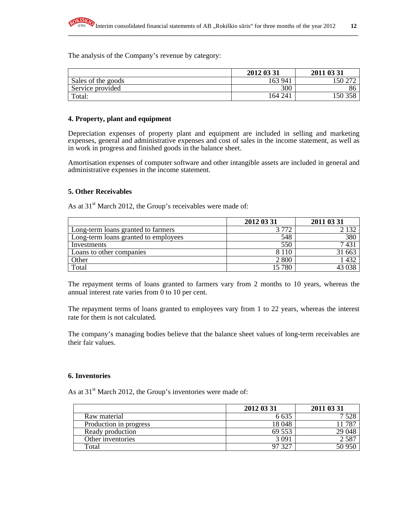

The analysis of the Company's revenue by category:

|                    | 2012 03 31 | 2011 03 31 |
|--------------------|------------|------------|
| Sales of the goods | 163 941    | 50         |
| Service provided   | 300        | 86         |
| Total:             | 164 241    | 50         |

**\_\_\_\_\_\_\_\_\_\_\_\_\_\_\_\_\_\_\_\_\_\_\_\_\_\_\_\_\_\_\_\_\_\_\_\_\_\_\_\_\_\_\_\_\_\_\_\_\_\_\_\_\_\_\_\_\_\_\_\_\_\_\_\_\_\_\_\_\_\_\_\_\_\_\_\_\_\_\_\_\_\_\_\_\_\_\_\_\_\_\_\_\_\_\_\_**

#### **4. Property, plant and equipment**

Depreciation expenses of property plant and equipment are included in selling and marketing expenses, general and administrative expenses and cost of sales in the income statement, as well as in work in progress and finished goods in the balance sheet.

Amortisation expenses of computer software and other intangible assets are included in general and administrative expenses in the income statement.

#### **5. Other Receivables**

As at  $31<sup>st</sup>$  March 2012, the Group's receivables were made of:

|                                      | 2012 03 31 | 2011 03 31 |
|--------------------------------------|------------|------------|
| Long-term loans granted to farmers   | 3.770      |            |
| Long-term loans granted to employees | 548        | 380        |
| Investments                          | 550        | 143.       |
| Loans to other companies             | 8 1 1 0    | 31 663     |
| Other                                | 2 800      | 432        |
| Total                                | 15 780     |            |

The repayment terms of loans granted to farmers vary from 2 months to 10 years, whereas the annual interest rate varies from 0 to 10 per cent.

The repayment terms of loans granted to employees vary from 1 to 22 years, whereas the interest rate for them is not calculated.

The company's managing bodies believe that the balance sheet values of long-term receivables are their fair values.

#### **6. Inventories**

As at  $31<sup>st</sup>$  March 2012, the Group's inventories were made of:

|                        | 2012 03 31 | 2011 03 31 |
|------------------------|------------|------------|
| Raw material           | 6 635      |            |
| Production in progress | 18 048     | . 787      |
| Ready production       | 69 553     | 29 048     |
| Other inventories      | 3 09 i     | 2587       |
| Total                  | 327        | 50 950     |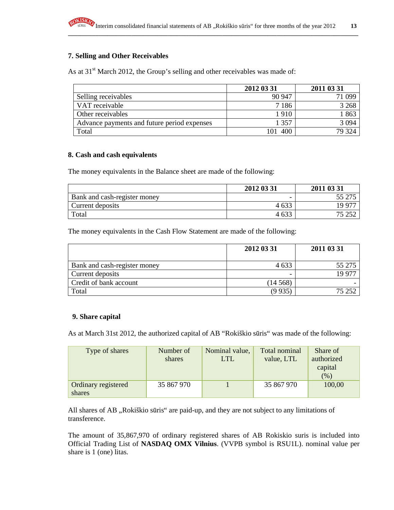

### **7. Selling and Other Receivables**

As at  $31<sup>st</sup>$  March 2012, the Group's selling and other receivables was made of:

|                                             | 2012 03 31 | 2011 03 31 |
|---------------------------------------------|------------|------------|
| Selling receivables                         | 90 947     | 71 099     |
| VAT receivable                              | 7 1 8 6    | 3 2 6 8    |
| Other receivables                           | 1910       | 1863       |
| Advance payments and future period expenses | 1 357      | 3 0 9 4    |
| Total                                       | 400        | 79 324     |

### **8. Cash and cash equivalents**

The money equivalents in the Balance sheet are made of the following:

|                              | 2012 03 31 | 2011 03 31 |
|------------------------------|------------|------------|
| Bank and cash-register money |            | 55 275     |
| Current deposits             | 4 6 33     | 19 977     |
| Total                        | 4 6 3 3    | クミ つらつ     |

The money equivalents in the Cash Flow Statement are made of the following:

|                              | 2012 03 31 | 2011 03 31 |
|------------------------------|------------|------------|
| Bank and cash-register money | 4 6 3 3    | 55 275     |
| Current deposits             |            | 19.97      |
| Credit of bank account       | (14568)    |            |
| Total                        | (9 9 35    | 75 252     |

### **9. Share capital**

As at March 31st 2012, the authorized capital of AB "Rokiškio sūris" was made of the following:

| Type of shares      | Number of  | Nominal value, | Total nominal | Share of   |
|---------------------|------------|----------------|---------------|------------|
|                     | shares     | LTL.           | value, LTL    | authorized |
|                     |            |                |               | capital    |
|                     |            |                |               | (%)        |
| Ordinary registered | 35 867 970 |                | 35 867 970    | 100,00     |
| shares              |            |                |               |            |

All shares of AB "Rokiškio sūris" are paid-up, and they are not subject to any limitations of transference.

The amount of 35,867,970 of ordinary registered shares of AB Rokiskio suris is included into Official Trading List of **NASDAQ OMX Vilnius**. (VVPB symbol is RSU1L). nominal value per share is 1 (one) litas.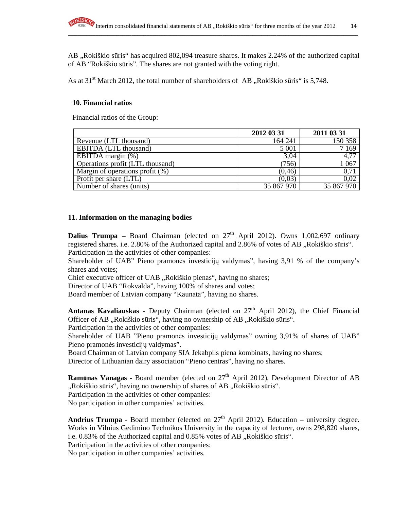AB , Rokiškio sūris" has acquired 802,094 treasure shares. It makes 2.24% of the authorized capital of AB "Rokiškio sūris". The shares are not granted with the voting right.

As at  $31<sup>st</sup>$  March 2012, the total number of shareholders of AB, Rokiškio sūris" is 5,748.

### **10. Financial ratios**

Financial ratios of the Group:

|                                    | 2012 03 31 | 2011 03 31 |
|------------------------------------|------------|------------|
| Revenue (LTL thousand)             | 164 241    | 150 358    |
| <b>EBITDA</b> (LTL thousand)       | 5 0 0 1    | 7169       |
| EBITDA margin $(\%)$               | 3,04       | 4,77       |
| Operations profit (LTL thousand)   | (756)      | 1 0 6 7    |
| Margin of operations profit $(\%)$ | (0, 46)    | 0,71       |
| Profit per share (LTL)             | (0,03)     | 0,02       |
| Number of shares (units)           | 35 867 970 | 35 867 970 |

### **11. Information on the managing bodies**

**Dalius Trumpa** – Board Chairman (elected on  $27<sup>th</sup>$  April 2012). Owns 1,002,697 ordinary registered shares. i.e. 2.80% of the Authorized capital and 2.86% of votes of AB "Rokiškio sūris". Participation in the activities of other companies:

Shareholder of UAB" Pieno pramonės investicijų valdymas", having 3,91 % of the company's shares and votes;

Chief executive officer of UAB "Rokiškio pienas", having no shares;

Director of UAB "Rokvalda", having 100% of shares and votes;

Board member of Latvian company "Kaunata", having no shares.

Antanas Kavaliauskas - Deputy Chairman (elected on 27<sup>th</sup> April 2012), the Chief Financial Officer of AB "Rokiškio sūris", having no ownership of AB "Rokiškio sūris".

Participation in the activities of other companies:

Shareholder of UAB "Pieno pramonės investicijų valdymas" owning 3,91% of shares of UAB" Pieno pramonės investicijų valdymas".

Board Chairman of Latvian company SIA Jekabpils piena kombinats, having no shares; Director of Lithuanian dairy association "Pieno centras", having no shares.

**Ramūnas Vanagas -** Board member (elected on 27<sup>th</sup> April 2012), Development Director of AB ",Rokiškio sūris", having no ownership of shares of AB "Rokiškio sūris".

Participation in the activities of other companies:

No participation in other companies' activities.

**Andrius Trumpa** - Board member (elected on  $27<sup>th</sup>$  April 2012). Education – university degree. Works in Vilnius Gedimino Technikos University in the capacity of lecturer, owns 298,820 shares, i.e. 0.83% of the Authorized capital and 0.85% votes of AB "Rokiškio sūris".

Participation in the activities of other companies:

No participation in other companies' activities.